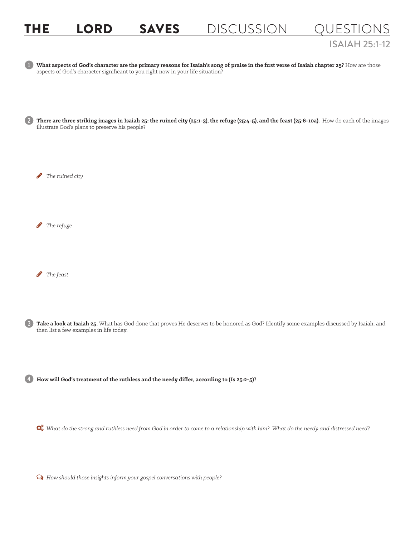## THE LORD SAVES DISCUSSION QUESTIONS ISAIAH 25:1-12



Ø *How should those insights inform your gospel conversations with people?*